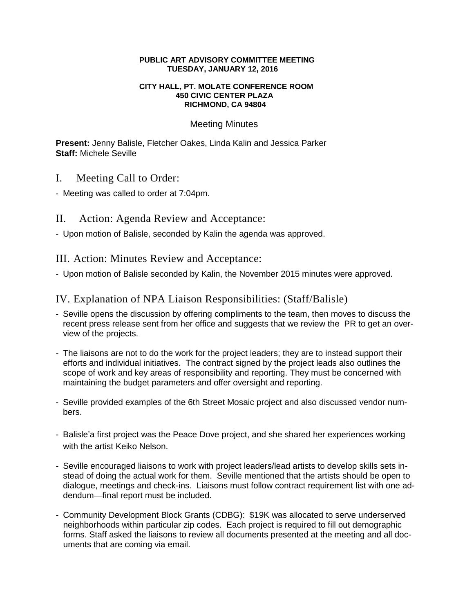#### **PUBLIC ART ADVISORY COMMITTEE MEETING TUESDAY, JANUARY 12, 2016**

#### **CITY HALL, PT. MOLATE CONFERENCE ROOM 450 CIVIC CENTER PLAZA RICHMOND, CA 94804**

#### Meeting Minutes

**Present:** Jenny Balisle, Fletcher Oakes, Linda Kalin and Jessica Parker **Staff:** Michele Seville

- I. Meeting Call to Order:
- Meeting was called to order at 7:04pm.
- II. Action: Agenda Review and Acceptance:
- Upon motion of Balisle, seconded by Kalin the agenda was approved.

III. Action: Minutes Review and Acceptance:

- Upon motion of Balisle seconded by Kalin, the November 2015 minutes were approved.

# IV. Explanation of NPA Liaison Responsibilities: (Staff/Balisle)

- Seville opens the discussion by offering compliments to the team, then moves to discuss the recent press release sent from her office and suggests that we review the PR to get an overview of the projects.
- The liaisons are not to do the work for the project leaders; they are to instead support their efforts and individual initiatives. The contract signed by the project leads also outlines the scope of work and key areas of responsibility and reporting. They must be concerned with maintaining the budget parameters and offer oversight and reporting.
- Seville provided examples of the 6th Street Mosaic project and also discussed vendor numbers.
- Balisle'a first project was the Peace Dove project, and she shared her experiences working with the artist Keiko Nelson.
- Seville encouraged liaisons to work with project leaders/lead artists to develop skills sets instead of doing the actual work for them. Seville mentioned that the artists should be open to dialogue, meetings and check-ins. Liaisons must follow contract requirement list with one addendum—final report must be included.
- Community Development Block Grants (CDBG): \$19K was allocated to serve underserved neighborhoods within particular zip codes. Each project is required to fill out demographic forms. Staff asked the liaisons to review all documents presented at the meeting and all documents that are coming via email.